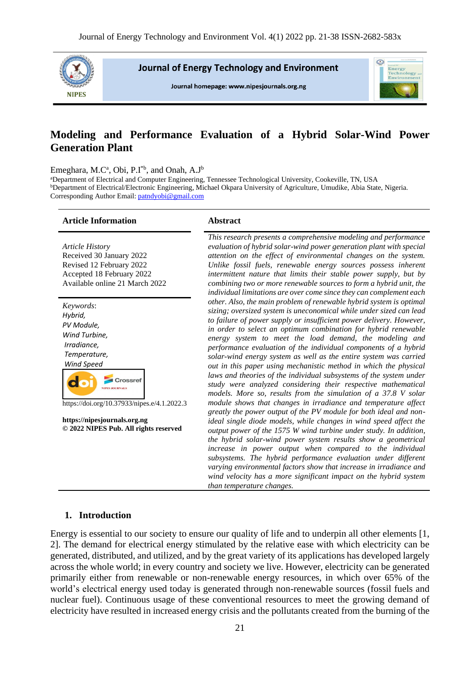

**Journal of Energy Technology and Environment** 

Journal homepage: www.nipesjournals.org.ng



# **Modeling and Performance Evaluation of a Hybrid Solar-Wind Power Generation Plant**

Emeghara, M.C<sup>a</sup>, Obi, P.I<sup>\*b</sup>, and Onah, A.J<sup>b</sup>

<sup>a</sup>Department of Electrical and Computer Engineering, Tennessee Technological University, Cookeville, TN, USA <sup>b</sup>Department of Electrical/Electronic Engineering, Michael Okpara University of Agriculture, Umudike, Abia State, Nigeria. Corresponding Author Email[: patndyobi@gmail.com](mailto:patndyobi@gmail.com)

#### **Article Information Abstract**

*Article History* Received 30 January 2022 Revised 12 February 2022 Accepted 18 February 2022 Available online 21 March 2022

| Keywords:                                                                |  |
|--------------------------------------------------------------------------|--|
| Hybrid,                                                                  |  |
| PV Module,                                                               |  |
| Wind Turbine,                                                            |  |
| Irradiance.                                                              |  |
| Temperature,                                                             |  |
| Wind Speed                                                               |  |
| Crossref<br><b>IRNALS</b><br>https://doi.org/10.37933/nipes.e/4.1.2022.3 |  |
| https://nipesjournals.org.ng<br>© 2022 NIPES Pub. All rights reserved    |  |
|                                                                          |  |
|                                                                          |  |
|                                                                          |  |

*This research presents a comprehensive modeling and performance evaluation of hybrid solar-wind power generation plant with special attention on the effect of environmental changes on the system. Unlike fossil fuels, renewable energy sources possess inherent intermittent nature that limits their stable power supply, but by combining two or more renewable sources to form a hybrid unit, the individual limitations are over come since they can complement each other. Also, the main problem of renewable hybrid system is optimal sizing; oversized system is uneconomical while under sized can lead to failure of power supply or insufficient power delivery. However, in order to select an optimum combination for hybrid renewable energy system to meet the load demand, the modeling and performance evaluation of the individual components of a hybrid solar-wind energy system as well as the entire system was carried out in this paper using mechanistic method in which the physical*  laws and theories of the individual subsystems of the system under *study were analyzed considering their respective mathematical models. More so, results from the simulation of a 37.8 V solar module shows that changes in irradiance and temperature affect greatly the power output of the PV module for both ideal and nonideal single diode models, while changes in wind speed affect the output power of the 1575 W wind turbine under study. In addition, the hybrid solar-wind power system results show a geometrical increase in power output when compared to the individual subsystems. The hybrid performance evaluation under different varying environmental factors show that increase in irradiance and wind velocity has a more significant impact on the hybrid system than temperature changes.*

## **1. Introduction**

Energy is essential to our society to ensure our quality of life and to underpin all other elements [1, 2]. The demand for electrical energy stimulated by the relative ease with which electricity can be generated, distributed, and utilized, and by the great variety of its applications has developed largely across the whole world; in every country and society we live. However, electricity can be generated primarily either from renewable or non-renewable energy resources, in which over 65% of the world's electrical energy used today is generated through non-renewable sources (fossil fuels and nuclear fuel). Continuous usage of these conventional resources to meet the growing demand of electricity have resulted in increased energy crisis and the pollutants created from the burning of the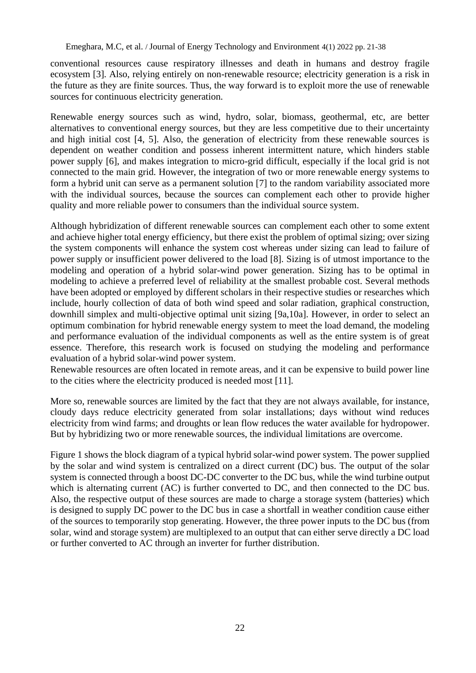conventional resources cause respiratory illnesses and death in humans and destroy fragile ecosystem [3]. Also, relying entirely on non-renewable resource; electricity generation is a risk in the future as they are finite sources. Thus, the way forward is to exploit more the use of renewable sources for continuous electricity generation.

Renewable energy sources such as wind, hydro, solar, biomass, geothermal, etc, are better alternatives to conventional energy sources, but they are less competitive due to their uncertainty and high initial cost [4, 5]. Also, the generation of electricity from these renewable sources is dependent on weather condition and possess inherent intermittent nature, which hinders stable power supply [6], and makes integration to micro-grid difficult, especially if the local grid is not connected to the main grid. However, the integration of two or more renewable energy systems to form a hybrid unit can serve as a permanent solution [7] to the random variability associated more with the individual sources, because the sources can complement each other to provide higher quality and more reliable power to consumers than the individual source system.

Although hybridization of different renewable sources can complement each other to some extent and achieve higher total energy efficiency, but there exist the problem of optimal sizing; over sizing the system components will enhance the system cost whereas under sizing can lead to failure of power supply or insufficient power delivered to the load [8]. Sizing is of utmost importance to the modeling and operation of a hybrid solar-wind power generation. Sizing has to be optimal in modeling to achieve a preferred level of reliability at the smallest probable cost. Several methods have been adopted or employed by different scholars in their respective studies or researches which include, hourly collection of data of both wind speed and solar radiation, graphical construction, downhill simplex and multi-objective optimal unit sizing [9a,10a]. However, in order to select an optimum combination for hybrid renewable energy system to meet the load demand, the modeling and performance evaluation of the individual components as well as the entire system is of great essence. Therefore, this research work is focused on studying the modeling and performance evaluation of a hybrid solar-wind power system.

Renewable resources are often located in remote areas, and it can be expensive to build power line to the cities where the electricity produced is needed most [11].

More so, renewable sources are limited by the fact that they are not always available, for instance, cloudy days reduce electricity generated from solar installations; days without wind reduces electricity from wind farms; and droughts or lean flow reduces the water available for hydropower. But by hybridizing two or more renewable sources, the individual limitations are overcome.

Figure 1 shows the block diagram of a typical hybrid solar-wind power system. The power supplied by the solar and wind system is centralized on a direct current (DC) bus. The output of the solar system is connected through a boost DC-DC converter to the DC bus, while the wind turbine output which is alternating current (AC) is further converted to DC, and then connected to the DC bus. Also, the respective output of these sources are made to charge a storage system (batteries) which is designed to supply DC power to the DC bus in case a shortfall in weather condition cause either of the sources to temporarily stop generating. However, the three power inputs to the DC bus (from solar, wind and storage system) are multiplexed to an output that can either serve directly a DC load or further converted to AC through an inverter for further distribution.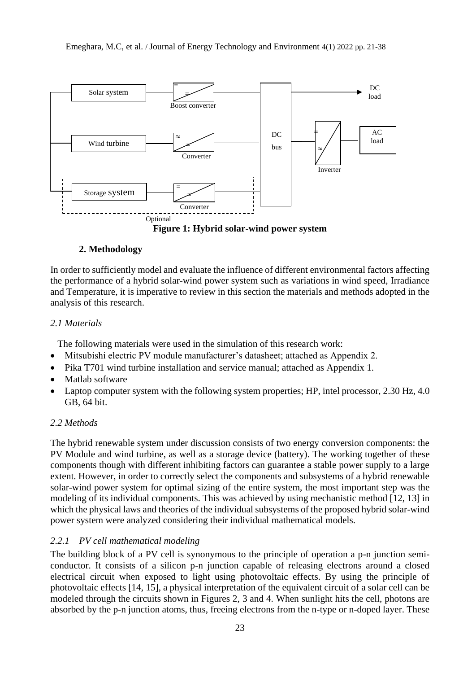

**Figure 1: Hybrid solar-wind power system**

# **2. Methodology**

In order to sufficiently model and evaluate the influence of different environmental factors affecting the performance of a hybrid solar-wind power system such as variations in wind speed, Irradiance and Temperature, it is imperative to review in this section the materials and methods adopted in the analysis of this research.

# *2.1 Materials*

The following materials were used in the simulation of this research work:

- Mitsubishi electric PV module manufacturer's datasheet; attached as Appendix 2.
- Pika T701 wind turbine installation and service manual; attached as Appendix 1.
- Matlab software
- Laptop computer system with the following system properties; HP, intel processor, 2.30 Hz, 4.0 GB, 64 bit.

# *2.2 Methods*

The hybrid renewable system under discussion consists of two energy conversion components: the PV Module and wind turbine, as well as a storage device (battery). The working together of these components though with different inhibiting factors can guarantee a stable power supply to a large extent. However, in order to correctly select the components and subsystems of a hybrid renewable solar-wind power system for optimal sizing of the entire system, the most important step was the modeling of its individual components. This was achieved by using mechanistic method [12, 13] in which the physical laws and theories of the individual subsystems of the proposed hybrid solar-wind power system were analyzed considering their individual mathematical models.

# *2.2.1 PV cell mathematical modeling*

The building block of a PV cell is synonymous to the principle of operation a p-n junction semiconductor. It consists of a silicon p-n junction capable of releasing electrons around a closed electrical circuit when exposed to light using photovoltaic effects. By using the principle of photovoltaic effects [14, 15], a physical interpretation of the equivalent circuit of a solar cell can be modeled through the circuits shown in Figures 2, 3 and 4. When sunlight hits the cell, photons are absorbed by the p-n junction atoms, thus, freeing electrons from the n-type or n-doped layer. These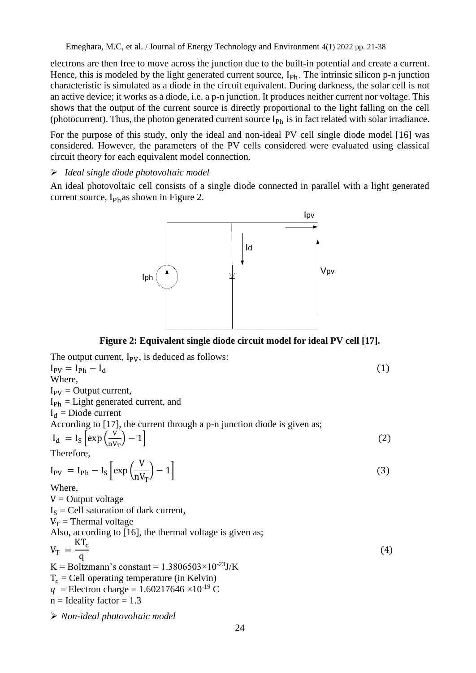electrons are then free to move across the junction due to the built-in potential and create a current. Hence, this is modeled by the light generated current source,  $I_{Ph}$ . The intrinsic silicon p-n junction characteristic is simulated as a diode in the circuit equivalent. During darkness, the solar cell is not an active device; it works as a diode, i.e. a p-n junction. It produces neither current nor voltage. This shows that the output of the current source is directly proportional to the light falling on the cell (photocurrent). Thus, the photon generated current source  $I_{Ph}$  is in fact related with solar irradiance.

For the purpose of this study, only the ideal and non-ideal PV cell single diode model [16] was considered. However, the parameters of the PV cells considered were evaluated using classical circuit theory for each equivalent model connection.

# ➢ *Ideal single diode photovoltaic model*

An ideal photovoltaic cell consists of a single diode connected in parallel with a light generated current source,  $I_{Ph}$ as shown in Figure 2.



**Figure 2: Equivalent single diode circuit model for ideal PV cell [17].**

| The output current, $I_{PV}$ , is deduced as follows:                            |     |
|----------------------------------------------------------------------------------|-----|
| $I_{PV} = I_{Ph} - I_d$                                                          | (1) |
| Where.                                                                           |     |
| $I_{PV}$ = Output current,                                                       |     |
| $I_{\rm Ph}$ = Light generated current, and                                      |     |
| $I_d$ = Diode current                                                            |     |
| According to [17], the current through a p-n junction diode is given as;         |     |
| $I_d = I_S \left[ exp \left( \frac{V}{nV_T} \right) - 1 \right]$                 | (2) |
| Therefore,                                                                       |     |
| $I_{PV} = I_{Ph} - I_{S} \left[ exp \left( \frac{V}{nV_{r}} \right) - 1 \right]$ | (3) |
| Where,                                                                           |     |
| $V =$ Output voltage                                                             |     |
| $I_s$ = Cell saturation of dark current,                                         |     |
| $V_T$ = Thermal voltage                                                          |     |
| Also, according to [16], the thermal voltage is given as;                        |     |
| $V_T = \frac{KT_c}{q}$                                                           | (4) |
| K = Boltzmann's constant = $1.3806503 \times 10^{-23}$ J/K                       |     |
| $T_c$ = Cell operating temperature (in Kelvin)                                   |     |
| $q =$ Electron charge = 1.60217646 × 10 <sup>-19</sup> C                         |     |
| $n =$ Ideality factor = 1.3                                                      |     |
| $\triangleright$ Non-ideal photovoltaic model                                    |     |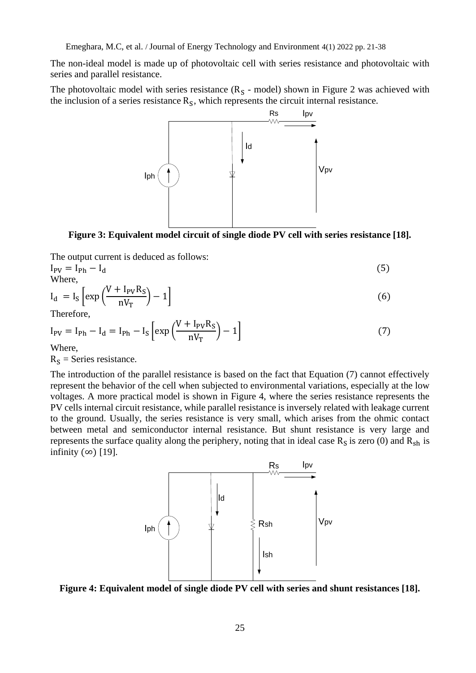The non-ideal model is made up of photovoltaic cell with series resistance and photovoltaic with series and parallel resistance.

The photovoltaic model with series resistance  $(R<sub>S</sub> - model)$  shown in Figure 2 was achieved with the inclusion of a series resistance  $R<sub>S</sub>$ , which represents the circuit internal resistance.



**Figure 3: Equivalent model circuit of single diode PV cell with series resistance [18].**

The output current is deduced as follows:

 $I_{\rm PV} = I_{\rm Ph} - I_{\rm d}$  (5)

Where,  

$$
I_d = I_S \left[ exp\left(\frac{V + I_{PV}R_S}{nV_T}\right) - 1\right]
$$
(6)

Therefore,

$$
I_{PV} = I_{Ph} - I_d = I_{Ph} - I_S \left[ exp\left(\frac{V + I_{PV}R_S}{nV_T}\right) - 1\right]
$$
 (7)

Where,

 $R<sub>S</sub>$  = Series resistance.

The introduction of the parallel resistance is based on the fact that Equation (7) cannot effectively represent the behavior of the cell when subjected to environmental variations, especially at the low voltages. A more practical model is shown in Figure 4, where the series resistance represents the PV cells internal circuit resistance, while parallel resistance is inversely related with leakage current to the ground. Usually, the series resistance is very small, which arises from the ohmic contact between metal and semiconductor internal resistance. But shunt resistance is very large and represents the surface quality along the periphery, noting that in ideal case  $R_s$  is zero (0) and  $R_{sh}$  is infinity  $(∞)$  [19].



**Figure 4: Equivalent model of single diode PV cell with series and shunt resistances [18].**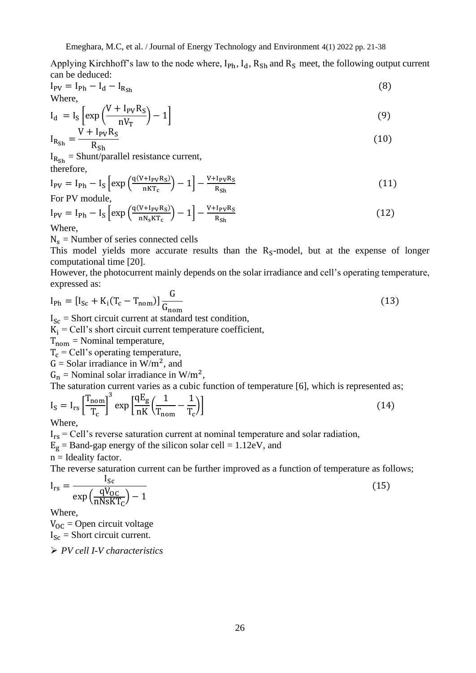Applying Kirchhoff's law to the node where,  $I_{Ph}$ ,  $I_d$ ,  $R_{Sh}$  and  $R_S$  meet, the following output current can be deduced:

$$
I_{\rm PV} = I_{\rm Ph} - I_{\rm d} - I_{\rm R_{\rm Sh}}
$$
 (8)

$$
I_d = I_S \left[ exp\left(\frac{V + I_{PV}R_S}{nV_T}\right) - 1\right]
$$
\n
$$
V + I_{PV}R_S
$$
\n(9)

$$
I_{R_{\rm Sh}} = \frac{I_{\rm F} I_{\rm F} I_{\rm F} I_{\rm F}}{R_{\rm Sh}}
$$

 $I_{Rsh}$  = Shunt/parallel resistance current, therefore,

$$
I_{\rm PV} = I_{\rm Ph} - I_{\rm S} \left[ \exp\left(\frac{q(V + I_{\rm PV}R_{\rm S})}{nKT_{\rm c}}\right) - 1 \right] - \frac{V + I_{\rm PV}R_{\rm S}}{R_{\rm Sh}} \tag{11}
$$

$$
I_{\rm PV} = I_{\rm Ph} - I_{\rm S} \left[ \exp\left(\frac{q(V + I_{\rm PV}R_{\rm S})}{nN_{\rm s}KT_{\rm c}}\right) - 1 \right] - \frac{V + I_{\rm PV}R_{\rm S}}{R_{\rm Sh}} \tag{12}
$$

Where,

 $N_s$  = Number of series connected cells

This model yields more accurate results than the  $R<sub>S</sub>$ -model, but at the expense of longer computational time [20].

However, the photocurrent mainly depends on the solar irradiance and cell's operating temperature, expressed as:

$$
I_{\text{Ph}} = [I_{\text{Sc}} + K_{\text{i}}(T_{\text{c}} - T_{\text{nom}})] \frac{G}{G_{\text{nom}}}
$$
\n(13)

 $I_{\text{Sc}}$  = Short circuit current at standard test condition,

 $K_i$  = Cell's short circuit current temperature coefficient,

 $T_{\text{nom}}$  = Nominal temperature,

 $T_c$  = Cell's operating temperature,

 $G =$  Solar irradiance in W/m<sup>2</sup>, and

 $G_n$  = Nominal solar irradiance in W/m<sup>2</sup>,

The saturation current varies as a cubic function of temperature [6], which is represented as;

$$
I_S = I_{rs} \left[ \frac{T_{nom}}{T_c} \right]^3 \exp \left[ \frac{qE_g}{nK} \left( \frac{1}{T_{nom}} - \frac{1}{T_c} \right) \right]
$$
(14)

Where,

 $I_{rs}$  = Cell's reverse saturation current at nominal temperature and solar radiation,

 $E<sub>g</sub>$  = Band-gap energy of the silicon solar cell = 1.12eV, and

 $n =$ Ideality factor.

The reverse saturation current can be further improved as a function of temperature as follows;

$$
I_{rs} = \frac{I_{sc}}{\exp\left(\frac{qV_{OC}}{nNsKT_C}\right) - 1}
$$
(15)

Where,

 $V_{OC}$  = Open circuit voltage  $I_{Sc}$  = Short circuit current.

➢ *PV cell I-V characteristics*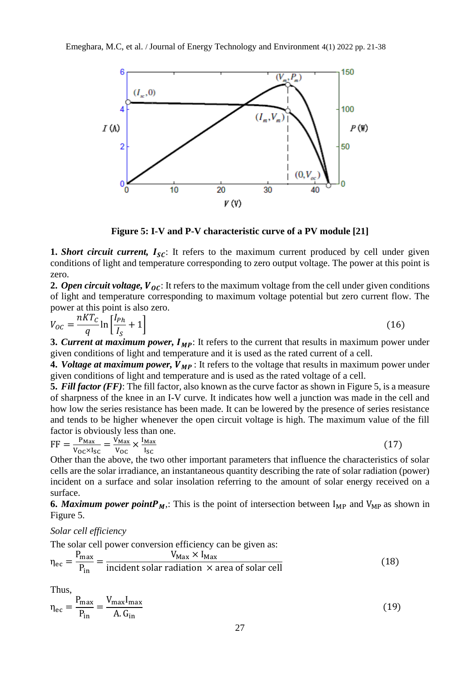

**Figure 5: I-V and P-V characteristic curve of a PV module [21]**

**1.** *Short circuit current*,  $I_{SC}$ : It refers to the maximum current produced by cell under given conditions of light and temperature corresponding to zero output voltage. The power at this point is zero.

**2.** Open circuit voltage,  $V_{0C}$ : It refers to the maximum voltage from the cell under given conditions of light and temperature corresponding to maximum voltage potential but zero current flow. The power at this point is also zero.

$$
V_{OC} = \frac{nKT_C}{q}\ln\left[\frac{I_{Ph}}{I_S} + 1\right]
$$
 (16)

**3. Current at maximum power,**  $I_{MP}$ **:** It refers to the current that results in maximum power under given conditions of light and temperature and it is used as the rated current of a cell.

**4.** *Voltage at maximum power,*  $V_{MP}$ : It refers to the voltage that results in maximum power under given conditions of light and temperature and is used as the rated voltage of a cell.

**5.** *Fill factor (FF)*: The fill factor, also known as the curve factor as shown in Figure 5, is a measure of sharpness of the knee in an I-V curve. It indicates how well a junction was made in the cell and how low the series resistance has been made. It can be lowered by the presence of series resistance and tends to be higher whenever the open circuit voltage is high. The maximum value of the fill factor is obviously less than one.

$$
FF = \frac{P_{\text{Max}}}{V_{\text{OC}} \times I_{\text{SC}}} = \frac{V_{\text{Max}}}{V_{\text{OC}}} \times \frac{I_{\text{Max}}}{I_{\text{SC}}}
$$
(17)

Other than the above, the two other important parameters that influence the characteristics of solar cells are the solar irradiance, an instantaneous quantity describing the rate of solar radiation (power) incident on a surface and solar insolation referring to the amount of solar energy received on a surface.

**6.** *Maximum power point*  $P_M$ . This is the point of intersection between  $I_{MP}$  and  $V_{MP}$  as shown in Figure 5.

*Solar cell efficiency*

The solar cell power conversion efficiency can be given as:  $\eta_{ec} =$ P<sub>max</sub> Pin  $=$   $\frac{V_{\text{Max}} \times I_{\text{Max}}}{V_{\text{Max}} \times I_{\text{Max}} \times I_{\text{Max}} \times I_{\text{Max}} \times I_{\text{Max}} \times I_{\text{Max}} \times I_{\text{Max}} \times I_{\text{Max}} \times I_{\text{Max}} \times I_{\text{Max}} \times I_{\text{Max}} \times I_{\text{Max}} \times I_{\text{Max}} \times I_{\text{Max}} \times I_{\text{Max}} \times I_{\text{Max}} \times I_{\text{Max}} \times I_{\text{Max}} \times I_{\text{Max}} \times I_{\text{Max}} \times I_{\text{Max}} \times I_{\text{Max}}$  $\frac{m_{\text{max}}}{m_{\text{max}}}$  (18)

Thus,

$$
\eta_{\rm ec} = \frac{P_{\rm max}}{P_{\rm in}} = \frac{V_{\rm max} I_{\rm max}}{A_{\rm}. G_{\rm in}}\tag{19}
$$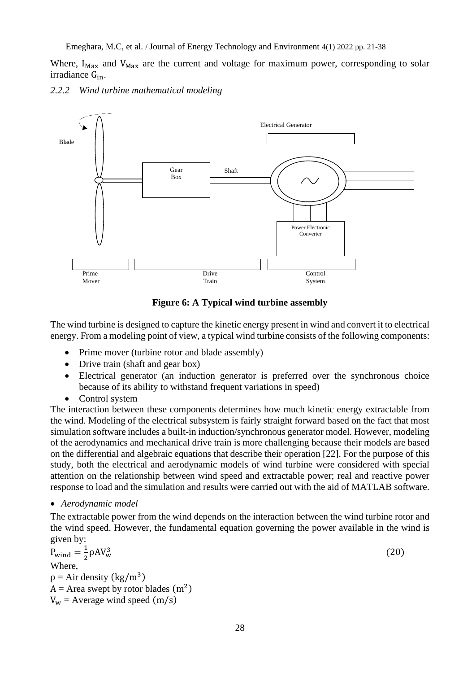Where,  $I_{\text{Max}}$  and  $V_{\text{Max}}$  are the current and voltage for maximum power, corresponding to solar irradiance Gin.

*2.2.2 Wind turbine mathematical modeling*



**Figure 6: A Typical wind turbine assembly**

The wind turbine is designed to capture the kinetic energy present in wind and convert it to electrical energy. From a modeling point of view, a typical wind turbine consists of the following components:

- Prime mover (turbine rotor and blade assembly)
- Drive train (shaft and gear box)
- Electrical generator (an induction generator is preferred over the synchronous choice because of its ability to withstand frequent variations in speed)
- Control system

The interaction between these components determines how much kinetic energy extractable from the wind. Modeling of the electrical subsystem is fairly straight forward based on the fact that most simulation software includes a built-in induction/synchronous generator model. However, modeling of the aerodynamics and mechanical drive train is more challenging because their models are based on the differential and algebraic equations that describe their operation [22]. For the purpose of this study, both the electrical and aerodynamic models of wind turbine were considered with special attention on the relationship between wind speed and extractable power; real and reactive power response to load and the simulation and results were carried out with the aid of MATLAB software.

# • *Aerodynamic model*

The extractable power from the wind depends on the interaction between the wind turbine rotor and the wind speed. However, the fundamental equation governing the power available in the wind is given by:

$$
P_{wind} = \frac{1}{2} \rho A V_w^3
$$
  
Where,  

$$
\rho = Air density (kg/m^3)
$$
  

$$
A = Area swept by rotor blades (m^2)
$$
  

$$
V_w = Average wind speed (m/s)
$$
 (20)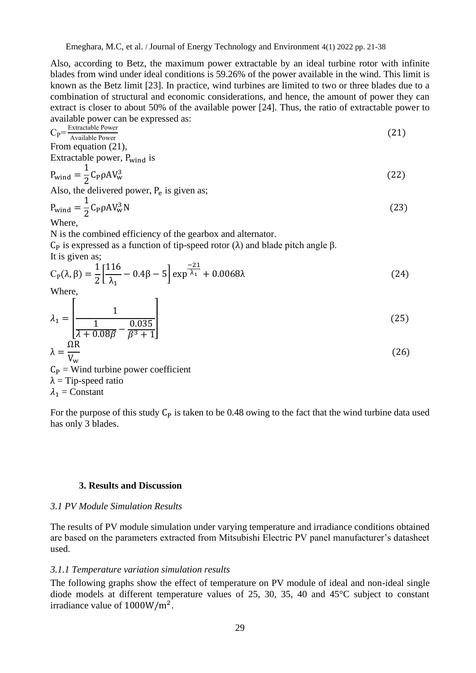Also, according to Betz, the maximum power extractable by an ideal turbine rotor with infinite blades from wind under ideal conditions is 59.26% of the power available in the wind. This limit is known as the Betz limit [23]. In practice, wind turbines are limited to two or three blades due to a combination of structural and economic considerations, and hence, the amount of power they can extract is closer to about 50% of the available power [24]. Thus, the ratio of extractable power to available power can be expressed as:

$$
C_{P} = \frac{\text{Extractable Power}}{\text{Available Power}}
$$
\n
$$
\text{From equation (21),}
$$

Extractable power, P<sub>wind</sub> is

$$
P_{\text{wind}} = \frac{1}{2} C_{\text{P}} \rho A V_{\text{w}}^3 \tag{22}
$$

Also, the delivered power,  $P_e$  is given as;

$$
P_{\text{wind}} = \frac{1}{2} C_{\text{P}} \rho A V_{\text{w}}^3 N
$$
\n
$$
W_{\text{hore}}^1 \tag{23}
$$

Where,

N is the combined efficiency of the gearbox and alternator.

C<sub>p</sub> is expressed as a function of tip-speed rotor (λ) and blade pitch angle β. It is given as;

$$
C_{P}(\lambda, \beta) = \frac{1}{2} \left[ \frac{116}{\lambda_1} - 0.4\beta - 5 \right] \exp^{-\frac{-21}{\lambda_1}} + 0.0068\lambda
$$
 (24)

 $W$ here,

$$
\lambda_1 = \left[ \frac{1}{\frac{1}{\lambda + 0.08\beta} - \frac{0.035}{\beta^3 + 1}} \right]
$$
\n(25)

$$
\lambda = \frac{\Omega R}{V_{\rm w}}\tag{26}
$$

 $C_P$  = Wind turbine power coefficient  $\lambda$  = Tip-speed ratio  $\lambda_1$  = Constant

For the purpose of this study  $C_P$  is taken to be 0.48 owing to the fact that the wind turbine data used has only 3 blades.

# **3. Results and Discussion**

# *3.1 PV Module Simulation Results*

The results of PV module simulation under varying temperature and irradiance conditions obtained are based on the parameters extracted from Mitsubishi Electric PV panel manufacturer's datasheet used.

### *3.1.1 Temperature variation simulation results*

The following graphs show the effect of temperature on PV module of ideal and non-ideal single diode models at different temperature values of 25, 30, 35, 40 and 45°C subject to constant irradiance value of 1000W/m<sup>2</sup>.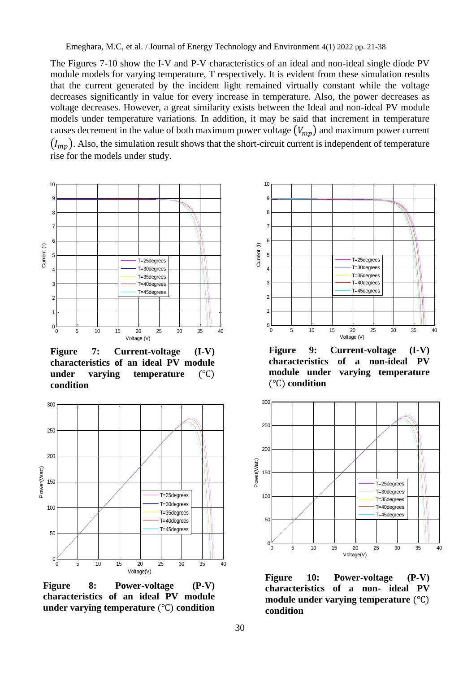The Figures 7-10 show the I-V and P-V characteristics of an ideal and non-ideal single diode PV module models for varying temperature, T respectively. It is evident from these simulation results that the current generated by the incident light remained virtually constant while the voltage decreases significantly in value for every increase in temperature. Also, the power decreases as voltage decreases. However, a great similarity exists between the Ideal and non-ideal PV module models under temperature variations. In addition, it may be said that increment in temperature causes decrement in the value of both maximum power voltage  $(V_{mp})$  and maximum power current  $(I_{mp})$ . Also, the simulation result shows that the short-circuit current is independent of temperature rise for the models under study.



**Figure 7: Current-voltage (I-V) characteristics of an ideal PV module under varying temperature** (℃) **condition**



**Figure 8: Power-voltage (P-V) characteristics of an ideal PV module under varying temperature** (℃) **condition**



**Figure 9: Current-voltage (I-V) characteristics of a non-ideal PV module under varying temperature**  (℃) **condition**



**Figure 10: Power-voltage (P-V) characteristics of a non- ideal PV module under varying temperature** (℃) **condition**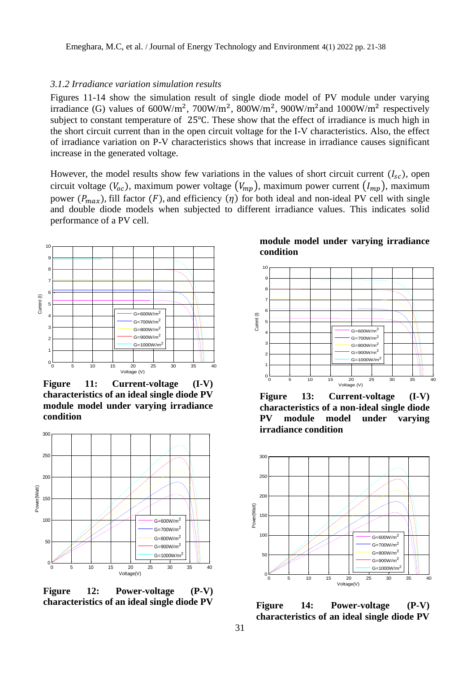### *3.1.2 Irradiance variation simulation results*

Figures 11-14 show the simulation result of single diode model of PV module under varying irradiance (G) values of  $600W/m^2$ ,  $700W/m^2$ ,  $800W/m^2$ ,  $900W/m^2$  and  $1000W/m^2$  respectively subject to constant temperature of 25℃. These show that the effect of irradiance is much high in the short circuit current than in the open circuit voltage for the I-V characteristics. Also, the effect of irradiance variation on P-V characteristics shows that increase in irradiance causes significant increase in the generated voltage.

However, the model results show few variations in the values of short circuit current  $(I_{sc})$ , open circuit voltage ( $V_{oc}$ ), maximum power voltage ( $V_{mp}$ ), maximum power current ( $I_{mp}$ ), maximum power  $(P_{max})$ , fill factor  $(F)$ , and efficiency  $(\eta)$  for both ideal and non-ideal PV cell with single and double diode models when subjected to different irradiance values. This indicates solid performance of a PV cell.



**Figure 11: Current-voltage (I-V) characteristics of an ideal single diode PV module model under varying irradiance condition**



**Figure 12: Power-voltage (P-V) characteristics of an ideal single diode PV** 

**module model under varying irradiance condition**



**Figure 13: Current-voltage (I-V) characteristics of a non-ideal single diode PV module model under varying irradiance condition**



**Figure 14: Power-voltage (P-V) characteristics of an ideal single diode PV**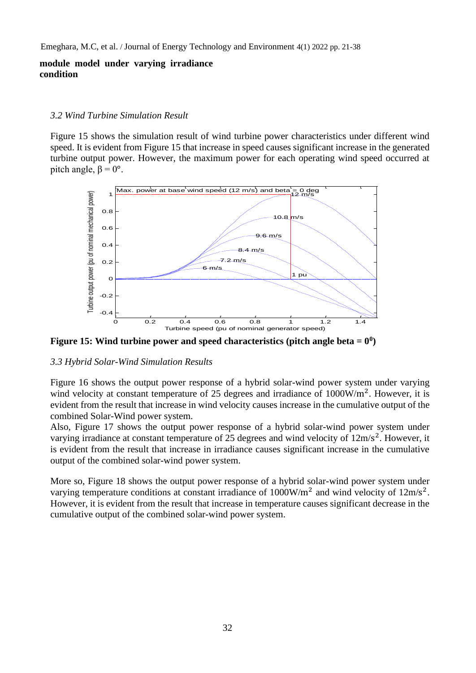# **module model under varying irradiance condition**

## *3.2 Wind Turbine Simulation Result*

Figure 15 shows the simulation result of wind turbine power characteristics under different wind speed. It is evident from Figure 15 that increase in speed causes significant increase in the generated turbine output power. However, the maximum power for each operating wind speed occurred at pitch angle,  $\beta = 0^{\circ}$ .



**Figure 15:** Wind turbine power and speed characteristics (pitch angle beta  $= 0^0$ )

# *3.3 Hybrid Solar-Wind Simulation Results*

Figure 16 shows the output power response of a hybrid solar-wind power system under varying wind velocity at constant temperature of 25 degrees and irradiance of  $1000W/m<sup>2</sup>$ . However, it is evident from the result that increase in wind velocity causes increase in the cumulative output of the combined Solar-Wind power system.

Also, Figure 17 shows the output power response of a hybrid solar-wind power system under varying irradiance at constant temperature of 25 degrees and wind velocity of  $12m/s<sup>2</sup>$ . However, it is evident from the result that increase in irradiance causes significant increase in the cumulative output of the combined solar-wind power system.

More so, Figure 18 shows the output power response of a hybrid solar-wind power system under varying temperature conditions at constant irradiance of  $1000W/m<sup>2</sup>$  and wind velocity of  $12m/s<sup>2</sup>$ . However, it is evident from the result that increase in temperature causes significant decrease in the cumulative output of the combined solar-wind power system.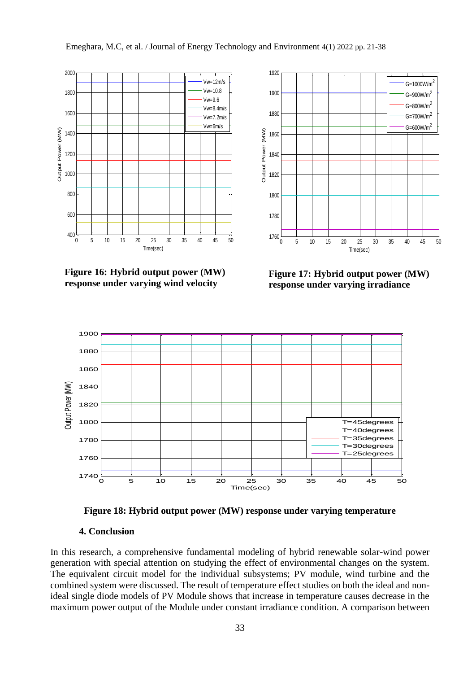

**Figure 16: Hybrid output power (MW) response under varying wind velocity**



**Figure 17: Hybrid output power (MW) response under varying irradiance**



**Figure 18: Hybrid output power (MW) response under varying temperature**

# **4. Conclusion**

In this research, a comprehensive fundamental modeling of hybrid renewable solar-wind power generation with special attention on studying the effect of environmental changes on the system. The equivalent circuit model for the individual subsystems; PV module, wind turbine and the combined system were discussed. The result of temperature effect studies on both the ideal and nonideal single diode models of PV Module shows that increase in temperature causes decrease in the maximum power output of the Module under constant irradiance condition. A comparison between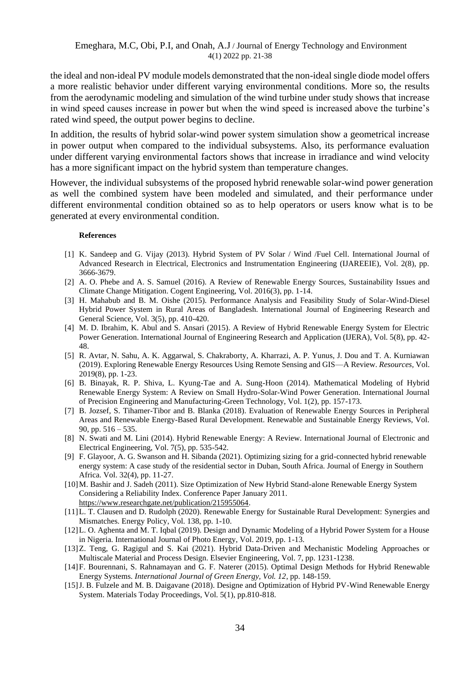the ideal and non-ideal PV module models demonstrated that the non-ideal single diode model offers a more realistic behavior under different varying environmental conditions. More so, the results from the aerodynamic modeling and simulation of the wind turbine under study shows that increase in wind speed causes increase in power but when the wind speed is increased above the turbine's rated wind speed, the output power begins to decline.

In addition, the results of hybrid solar-wind power system simulation show a geometrical increase in power output when compared to the individual subsystems. Also, its performance evaluation under different varying environmental factors shows that increase in irradiance and wind velocity has a more significant impact on the hybrid system than temperature changes.

However, the individual subsystems of the proposed hybrid renewable solar-wind power generation as well the combined system have been modeled and simulated, and their performance under different environmental condition obtained so as to help operators or users know what is to be generated at every environmental condition.

#### **References**

- [1] K. Sandeep and G. Vijay (2013). Hybrid System of PV Solar / Wind /Fuel Cell. International Journal of Advanced Research in Electrical, Electronics and Instrumentation Engineering (IJAREEIE), Vol. 2(8), pp. 3666-3679.
- [2] A. O. Phebe and A. S. Samuel (2016). A Review of Renewable Energy Sources, Sustainability Issues and Climate Change Mitigation. Cogent Engineering, Vol. 2016(3), pp. 1-14.
- [3] H. Mahabub and B. M. Oishe (2015). Performance Analysis and Feasibility Study of Solar-Wind-Diesel Hybrid Power System in Rural Areas of Bangladesh. International Journal of Engineering Research and General Science, Vol. 3(5), pp. 410-420.
- [4] M. D. Ibrahim, K. Abul and S. Ansari (2015). A Review of Hybrid Renewable Energy System for Electric Power Generation. International Journal of Engineering Research and Application (IJERA), Vol. 5(8), pp. 42- 48.
- [5] R. Avtar, N. Sahu, A. K. Aggarwal, S. Chakraborty, A. Kharrazi, A. P. Yunus, J. Dou and T. A. Kurniawan (2019). Exploring Renewable Energy Resources Using Remote Sensing and GIS—A Review. *Resources,* Vol. 2019(8), pp. 1-23.
- [6] B. Binayak, R. P. Shiva, L. Kyung-Tae and A. Sung-Hoon (2014). Mathematical Modeling of Hybrid Renewable Energy System: A Review on Small Hydro-Solar-Wind Power Generation. International Journal of Precision Engineering and Manufacturing-Green Technology, Vol. 1(2), pp. 157-173.
- [7] B. Jozsef, S. Tihamer-Tibor and B. Blanka (2018). Evaluation of Renewable Energy Sources in Peripheral Areas and Renewable Energy-Based Rural Development. Renewable and Sustainable Energy Reviews, Vol. 90, pp.  $516 - 535$ .
- [8] N. Swati and M. Lini (2014). Hybrid Renewable Energy: A Review. International Journal of Electronic and Electrical Engineering, Vol. 7(5), pp. 535-542.
- [9] F. Glayoor, A. G. Swanson and H. Sibanda (2021). Optimizing sizing for a grid-connected hybrid renewable energy system: A case study of the residential sector in Duban, South Africa. Journal of Energy in Southern Africa. Vol. 32(4), pp. 11-27.
- [10]M. Bashir and J. Sadeh (2011). Size Optimization of New Hybrid Stand-alone Renewable Energy System Considering a Reliability Index. Conference Paper January 2011. [https://www.researchgate.net/publication/215955064.](https://www.researchgate.net/publication/215955064)
- [11]L. T. Clausen and D. Rudolph (2020). Renewable Energy for Sustainable Rural Development: Synergies and Mismatches. Energy Policy, Vol. 138, pp. 1-10.
- [12]L. O. Aghenta and M. T. Iqbal (2019). Design and Dynamic Modeling of a Hybrid Power System for a House in Nigeria. International Journal of Photo Energy, Vol. 2019, pp. 1-13.
- [13]Z. Teng, G. Ragigul and S. Kai (2021). Hybrid Data-Driven and Mechanistic Modeling Approaches or Multiscale Material and Process Design. Elsevier Engineering, Vol. 7, pp. 1231-1238.
- [14]F. Bourennani, S. Rahnamayan and G. F. Naterer (2015). Optimal Design Methods for Hybrid Renewable Energy Systems. *International Journal of Green Energy, Vol. 12*, pp. 148-159.
- [15]J. B. Fulzele and M. B. Daigavane (2018). Designe and Optimization of Hybrid PV-Wind Renewable Energy System. Materials Today Proceedings, Vol. 5(1), pp.810-818.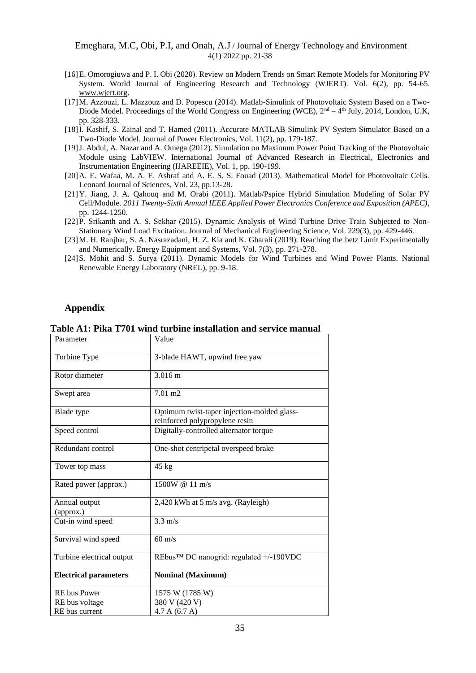#### Emeghara, M.C, Obi, P.I, and Onah, A.J / Journal of Energy Technology and Environment 4(1) 2022 pp. 21-38

- [16]E. Omorogiuwa and P. I. Obi (2020). Review on Modern Trends on Smart Remote Models for Monitoring PV System. World Journal of Engineering Research and Technology (WJERT). Vol. 6(2), pp. 54-65. [www.wjert.org.](http://www.wjert.org/)
- [17]M. Azzouzi, L. Mazzouz and D. Popescu (2014). Matlab-Simulink of Photovoltaic System Based on a Two-Diode Model. Proceedings of the World Congress on Engineering (WCE),  $2<sup>nd</sup> - 4<sup>th</sup>$  July, 2014, London, U.K, pp. 328-333.
- [18]I. Kashif, S. Zainal and T. Hamed (2011). Accurate MATLAB Simulink PV System Simulator Based on a Two-Diode Model. Journal of Power Electronics, Vol. 11(2), pp. 179-187.
- [19]J. Abdul, A. Nazar and A. Omega (2012). Simulation on Maximum Power Point Tracking of the Photovoltaic Module using LabVIEW. International Journal of Advanced Research in Electrical, Electronics and Instrumentation Engineering (IJAREEIE), Vol. 1, pp. 190-199.
- [20]A. E. Wafaa, M. A. E. Ashraf and A. E. S. S. Fouad (2013). Mathematical Model for Photovoltaic Cells. Leonard Journal of Sciences, Vol. 23, pp.13-28.
- [21]Y. Jiang, J. A. Qahouq and M. Orabi (2011). Matlab/Pspice Hybrid Simulation Modeling of Solar PV Cell/Module. *2011 Twenty-Sixth Annual IEEE Applied Power Electronics Conference and Exposition (APEC)*, pp. 1244-1250.
- [22]P. Srikanth and A. S. Sekhar (2015). Dynamic Analysis of Wind Turbine Drive Train Subjected to Non-Stationary Wind Load Excitation. Journal of Mechanical Engineering Science, Vol. 229(3), pp. 429-446.
- [23]M. H. Ranjbar, S. A. Nasrazadani, H. Z. Kia and K. Gharali (2019). Reaching the betz Limit Experimentally and Numerically. Energy Equipment and Systems, Vol. 7(3), pp. 271-278.
- [24]S. Mohit and S. Surya (2011). Dynamic Models for Wind Turbines and Wind Power Plants. National Renewable Energy Laboratory (NREL), pp. 9-18.

## **Appendix**

| Parameter                    | Value                                                                         |
|------------------------------|-------------------------------------------------------------------------------|
| Turbine Type                 | 3-blade HAWT, upwind free yaw                                                 |
| Rotor diameter               | 3.016 m                                                                       |
| Swept area                   | $7.01 \text{ m}$ 2                                                            |
| Blade type                   | Optimum twist-taper injection-molded glass-<br>reinforced polypropylene resin |
| Speed control                | Digitally-controlled alternator torque                                        |
| Redundant control            | One-shot centripetal overspeed brake                                          |
| Tower top mass               | 45 kg                                                                         |
| Rated power (approx.)        | 1500W @ 11 m/s                                                                |
| Annual output<br>(approx.)   | 2,420 kWh at 5 m/s avg. (Rayleigh)                                            |
| Cut-in wind speed            | $3.3 \text{ m/s}$                                                             |
| Survival wind speed          | $60 \text{ m/s}$                                                              |
| Turbine electrical output    | REbus™ DC nanogrid: regulated +/-190VDC                                       |
| <b>Electrical parameters</b> | <b>Nominal (Maximum)</b>                                                      |
| <b>RE</b> bus Power          | 1575 W (1785 W)                                                               |
| RE bus voltage               | 380 V (420 V)                                                                 |
| RE bus current               | 4.7 A (6.7 A)                                                                 |

**Table A1: Pika T701 wind turbine installation and service manual**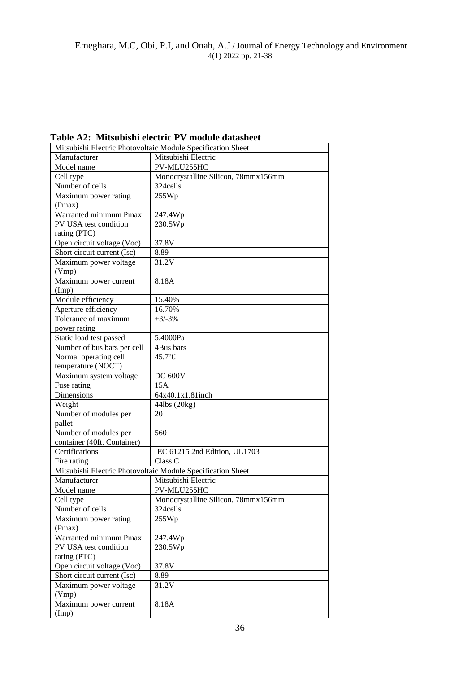**Table A2: Mitsubishi electric PV module datasheet**

|                                                             | Mitsubishi Electric Photovoltaic Module Specification Sheet |
|-------------------------------------------------------------|-------------------------------------------------------------|
| Manufacturer                                                | Mitsubishi Electric                                         |
| Model name                                                  | PV-MLU255HC                                                 |
| Cell type                                                   | Monocrystalline Silicon, 78mmx156mm                         |
| Number of cells                                             | 324cells                                                    |
| Maximum power rating                                        | 255Wp                                                       |
| (Pmax)                                                      |                                                             |
| Warranted minimum Pmax                                      | 247.4Wp                                                     |
| PV USA test condition                                       | 230.5Wp                                                     |
| rating (PTC)                                                |                                                             |
| Open circuit voltage (Voc)                                  | 37.8V                                                       |
| Short circuit current (Isc)                                 | $\overline{8.89}$                                           |
| Maximum power voltage                                       | $\overline{3}1.2V$                                          |
| ( Vmp)                                                      |                                                             |
| Maximum power current                                       | 8.18A                                                       |
| (Imp)                                                       |                                                             |
| Module efficiency                                           | 15.40%                                                      |
| Aperture efficiency                                         | 16.70%                                                      |
| Tolerance of maximum                                        | $+3/-3%$                                                    |
| power rating                                                |                                                             |
| Static load test passed                                     | 5,4000Pa                                                    |
| Number of bus bars per cell                                 | 4Bus bars                                                   |
| Normal operating cell                                       | 45.7°C                                                      |
| temperature (NOCT)                                          |                                                             |
| Maximum system voltage                                      | <b>DC 600V</b>                                              |
| Fuse rating                                                 | 15A                                                         |
| Dimensions                                                  | 64x40.1x1.81inch                                            |
| Weight                                                      | 44lbs (20kg)                                                |
| Number of modules per                                       | 20                                                          |
| pallet                                                      |                                                             |
| Number of modules per                                       | 560                                                         |
| container (40ft. Container)                                 |                                                             |
| Certifications                                              | IEC 61215 2nd Edition, UL1703                               |
| Fire rating                                                 | Class C                                                     |
| Mitsubishi Electric Photovoltaic Module Specification Sheet |                                                             |
| $\overline{\text{M}}$ anufacturer                           | Mitsubishi Electric                                         |
| Model name                                                  | PV-MLU255HC                                                 |
| Cell type                                                   | Monocrystalline Silicon, 78mmx156mm                         |
| Number of cells                                             | 324cells                                                    |
| Maximum power rating                                        | 255Wp                                                       |
| (Pmax)                                                      |                                                             |
| Warranted minimum Pmax                                      | 247.4Wp                                                     |
| PV USA test condition                                       | 230.5Wp                                                     |
| rating (PTC)                                                |                                                             |
| Open circuit voltage (Voc)                                  | 37.8V                                                       |
| Short circuit current (Isc)                                 | 8.89                                                        |
| Maximum power voltage                                       | 31.2V                                                       |
| ( Vmp)                                                      |                                                             |
| Maximum power current                                       | 8.18A                                                       |
| (Imp)                                                       |                                                             |